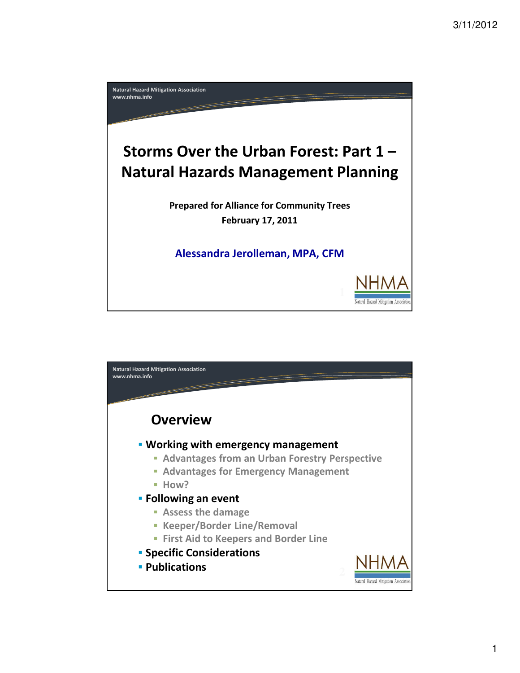

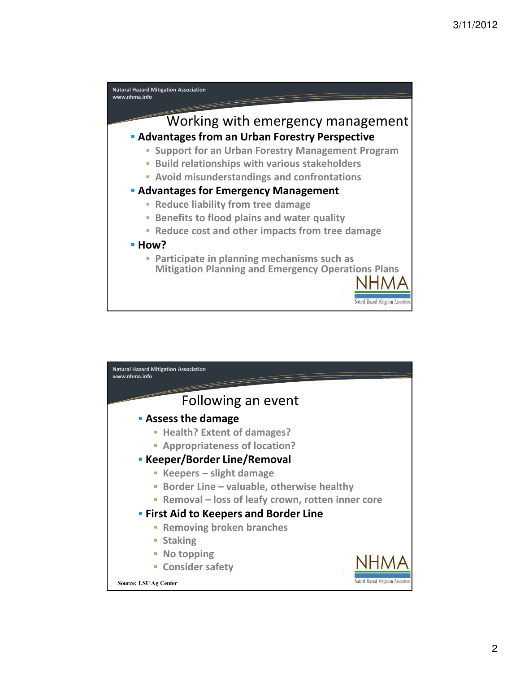

| <b>Natural Hazard Mitigation Association</b><br>www.nhma.info         |  |
|-----------------------------------------------------------------------|--|
|                                                                       |  |
| Following an event                                                    |  |
| <b>Assess the damage</b>                                              |  |
| <b>Health? Extent of damages?</b><br>Ī.                               |  |
| <b>- Appropriateness of location?</b>                                 |  |
| <b>EXECTED</b> Keeper/Border Line/Removal                             |  |
| Keepers – slight damage<br>÷,                                         |  |
| Border Line - valuable, otherwise healthy<br>T.                       |  |
| Removal - loss of leafy crown, rotten inner core                      |  |
| <b>Eirst Aid to Keepers and Border Line</b>                           |  |
| <b>Removing broken branches</b><br>L.                                 |  |
| <b>Staking</b>                                                        |  |
| No topping                                                            |  |
| <b>- Consider safety</b>                                              |  |
| Natural Hazard Mitigation Association<br><b>Source: LSU Ag Center</b> |  |